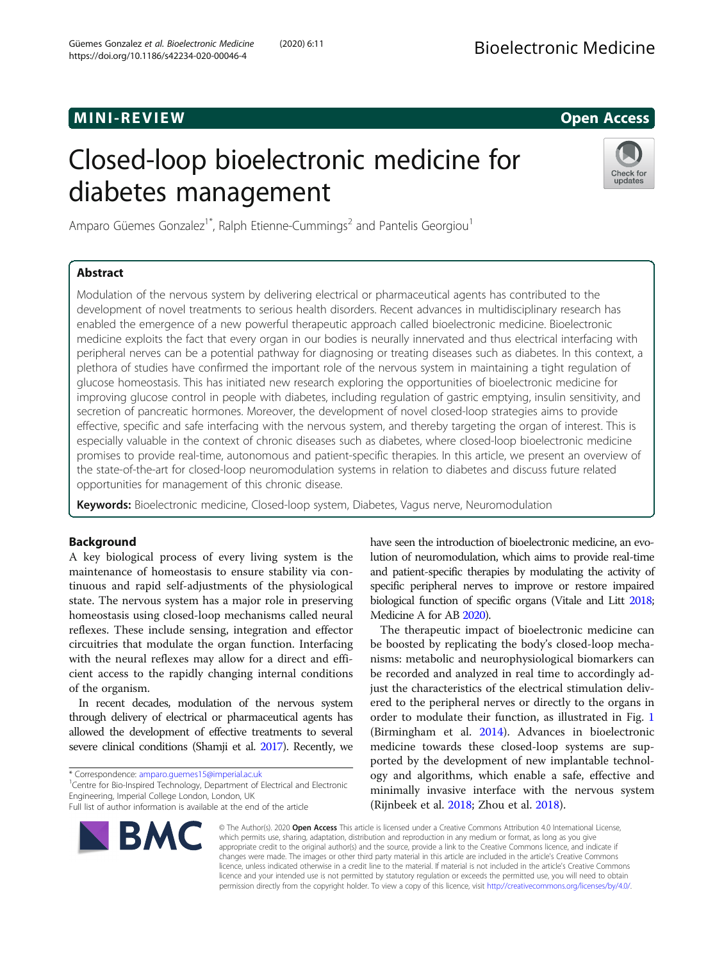# **MINI-REVIEW CONSULTER SERVIEW CONSULTER SERVICE SERVICE SERVICE SERVICE SERVICE SERVICE SERVICE SERVICE SERVICE**

# Closed-loop bioelectronic medicine for diabetes management



Amparo Güemes Gonzalez<sup>1\*</sup>, Ralph Etienne-Cummings<sup>2</sup> and Pantelis Georgiou<sup>1</sup>

# Abstract

Modulation of the nervous system by delivering electrical or pharmaceutical agents has contributed to the development of novel treatments to serious health disorders. Recent advances in multidisciplinary research has enabled the emergence of a new powerful therapeutic approach called bioelectronic medicine. Bioelectronic medicine exploits the fact that every organ in our bodies is neurally innervated and thus electrical interfacing with peripheral nerves can be a potential pathway for diagnosing or treating diseases such as diabetes. In this context, a plethora of studies have confirmed the important role of the nervous system in maintaining a tight regulation of glucose homeostasis. This has initiated new research exploring the opportunities of bioelectronic medicine for improving glucose control in people with diabetes, including regulation of gastric emptying, insulin sensitivity, and secretion of pancreatic hormones. Moreover, the development of novel closed-loop strategies aims to provide effective, specific and safe interfacing with the nervous system, and thereby targeting the organ of interest. This is especially valuable in the context of chronic diseases such as diabetes, where closed-loop bioelectronic medicine promises to provide real-time, autonomous and patient-specific therapies. In this article, we present an overview of the state-of-the-art for closed-loop neuromodulation systems in relation to diabetes and discuss future related opportunities for management of this chronic disease.

Keywords: Bioelectronic medicine, Closed-loop system, Diabetes, Vagus nerve, Neuromodulation

# Background

A key biological process of every living system is the maintenance of homeostasis to ensure stability via continuous and rapid self-adjustments of the physiological state. The nervous system has a major role in preserving homeostasis using closed-loop mechanisms called neural reflexes. These include sensing, integration and effector circuitries that modulate the organ function. Interfacing with the neural reflexes may allow for a direct and efficient access to the rapidly changing internal conditions of the organism.

In recent decades, modulation of the nervous system through delivery of electrical or pharmaceutical agents has allowed the development of effective treatments to several severe clinical conditions (Shamji et al. [2017\)](#page-6-0). Recently, we

\* Correspondence: [amparo.guemes15@imperial.ac.uk](mailto:amparo.guemes15@imperial.ac.uk) <sup>1</sup>

<sup>1</sup> Centre for Bio-Inspired Technology, Department of Electrical and Electronic Engineering, Imperial College London, London, UK

Full list of author information is available at the end of the article

have seen the introduction of bioelectronic medicine, an evolution of neuromodulation, which aims to provide real-time and patient-specific therapies by modulating the activity of specific peripheral nerves to improve or restore impaired biological function of specific organs (Vitale and Litt [2018](#page-6-0); Medicine A for AB [2020](#page-6-0)).

The therapeutic impact of bioelectronic medicine can be boosted by replicating the body's closed-loop mechanisms: metabolic and neurophysiological biomarkers can be recorded and analyzed in real time to accordingly adjust the characteristics of the electrical stimulation delivered to the peripheral nerves or directly to the organs in order to modulate their function, as illustrated in Fig. [1](#page-1-0) (Birmingham et al. [2014](#page-5-0)). Advances in bioelectronic medicine towards these closed-loop systems are supported by the development of new implantable technology and algorithms, which enable a safe, effective and minimally invasive interface with the nervous system (Rijnbeek et al. [2018](#page-6-0); Zhou et al. [2018](#page-6-0)).



© The Author(s). 2020 Open Access This article is licensed under a Creative Commons Attribution 4.0 International License, which permits use, sharing, adaptation, distribution and reproduction in any medium or format, as long as you give appropriate credit to the original author(s) and the source, provide a link to the Creative Commons licence, and indicate if changes were made. The images or other third party material in this article are included in the article's Creative Commons licence, unless indicated otherwise in a credit line to the material. If material is not included in the article's Creative Commons licence and your intended use is not permitted by statutory regulation or exceeds the permitted use, you will need to obtain permission directly from the copyright holder. To view a copy of this licence, visit [http://creativecommons.org/licenses/by/4.0/.](http://creativecommons.org/licenses/by/4.0/)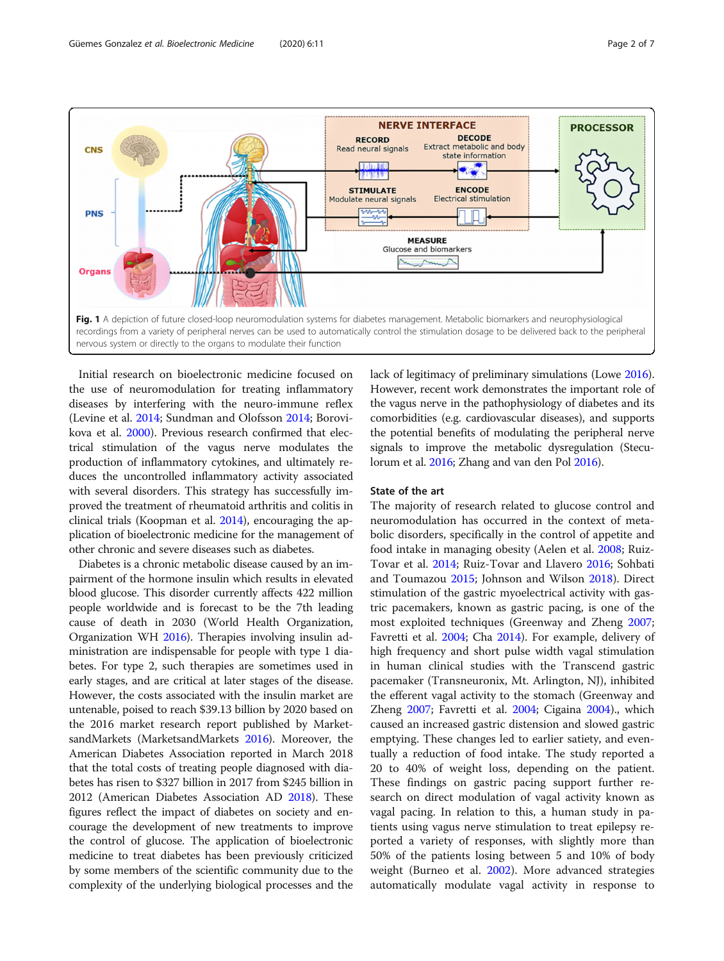<span id="page-1-0"></span>

Initial research on bioelectronic medicine focused on the use of neuromodulation for treating inflammatory diseases by interfering with the neuro-immune reflex (Levine et al. [2014;](#page-6-0) Sundman and Olofsson [2014](#page-6-0); Borovikova et al. [2000\)](#page-5-0). Previous research confirmed that electrical stimulation of the vagus nerve modulates the production of inflammatory cytokines, and ultimately reduces the uncontrolled inflammatory activity associated with several disorders. This strategy has successfully improved the treatment of rheumatoid arthritis and colitis in clinical trials (Koopman et al. [2014](#page-5-0)), encouraging the application of bioelectronic medicine for the management of other chronic and severe diseases such as diabetes.

Diabetes is a chronic metabolic disease caused by an impairment of the hormone insulin which results in elevated blood glucose. This disorder currently affects 422 million people worldwide and is forecast to be the 7th leading cause of death in 2030 (World Health Organization, Organization WH [2016\)](#page-6-0). Therapies involving insulin administration are indispensable for people with type 1 diabetes. For type 2, such therapies are sometimes used in early stages, and are critical at later stages of the disease. However, the costs associated with the insulin market are untenable, poised to reach \$39.13 billion by 2020 based on the 2016 market research report published by MarketsandMarkets (MarketsandMarkets [2016](#page-6-0)). Moreover, the American Diabetes Association reported in March 2018 that the total costs of treating people diagnosed with diabetes has risen to \$327 billion in 2017 from \$245 billion in 2012 (American Diabetes Association AD [2018](#page-5-0)). These figures reflect the impact of diabetes on society and encourage the development of new treatments to improve the control of glucose. The application of bioelectronic medicine to treat diabetes has been previously criticized by some members of the scientific community due to the complexity of the underlying biological processes and the lack of legitimacy of preliminary simulations (Lowe [2016](#page-6-0)). However, recent work demonstrates the important role of the vagus nerve in the pathophysiology of diabetes and its comorbidities (e.g. cardiovascular diseases), and supports the potential benefits of modulating the peripheral nerve signals to improve the metabolic dysregulation (Steculorum et al. [2016;](#page-6-0) Zhang and van den Pol [2016\)](#page-6-0).

### State of the art

The majority of research related to glucose control and neuromodulation has occurred in the context of metabolic disorders, specifically in the control of appetite and food intake in managing obesity (Aelen et al. [2008;](#page-5-0) Ruiz-Tovar et al. [2014;](#page-6-0) Ruiz-Tovar and Llavero [2016](#page-6-0); Sohbati and Toumazou [2015;](#page-6-0) Johnson and Wilson [2018](#page-5-0)). Direct stimulation of the gastric myoelectrical activity with gastric pacemakers, known as gastric pacing, is one of the most exploited techniques (Greenway and Zheng [2007](#page-5-0); Favretti et al. [2004](#page-5-0); Cha [2014\)](#page-5-0). For example, delivery of high frequency and short pulse width vagal stimulation in human clinical studies with the Transcend gastric pacemaker (Transneuronix, Mt. Arlington, NJ), inhibited the efferent vagal activity to the stomach (Greenway and Zheng [2007;](#page-5-0) Favretti et al. [2004](#page-5-0); Cigaina [2004](#page-5-0))., which caused an increased gastric distension and slowed gastric emptying. These changes led to earlier satiety, and eventually a reduction of food intake. The study reported a 20 to 40% of weight loss, depending on the patient. These findings on gastric pacing support further research on direct modulation of vagal activity known as vagal pacing. In relation to this, a human study in patients using vagus nerve stimulation to treat epilepsy reported a variety of responses, with slightly more than 50% of the patients losing between 5 and 10% of body weight (Burneo et al. [2002](#page-5-0)). More advanced strategies automatically modulate vagal activity in response to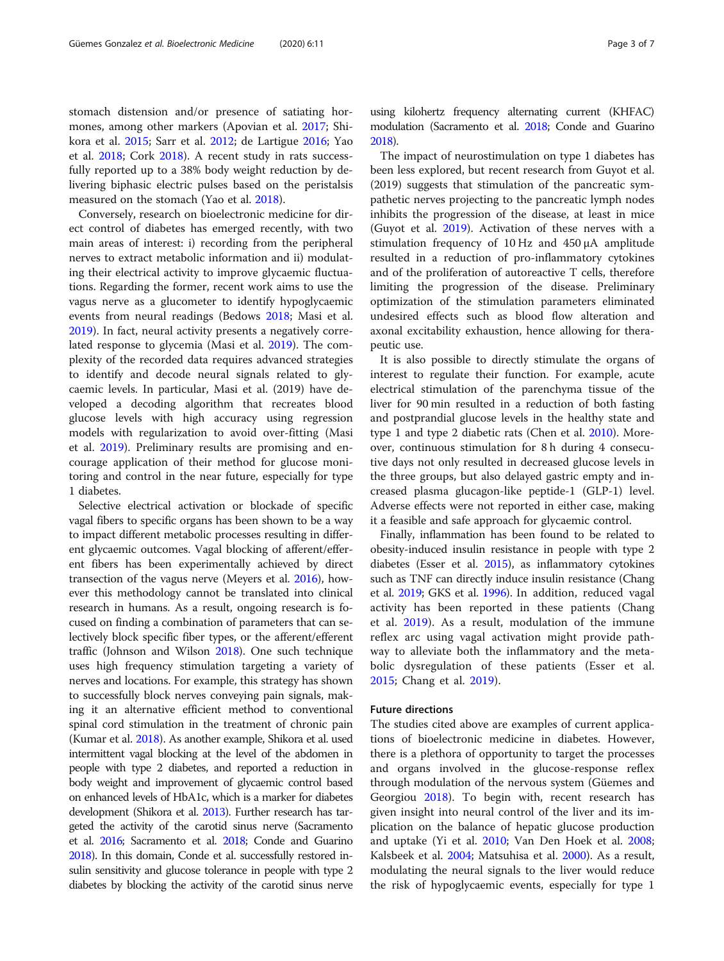stomach distension and/or presence of satiating hormones, among other markers (Apovian et al. [2017](#page-5-0); Shikora et al. [2015](#page-6-0); Sarr et al. [2012;](#page-6-0) de Lartigue [2016](#page-5-0); Yao et al. [2018;](#page-6-0) Cork [2018\)](#page-5-0). A recent study in rats successfully reported up to a 38% body weight reduction by delivering biphasic electric pulses based on the peristalsis measured on the stomach (Yao et al. [2018\)](#page-6-0).

Conversely, research on bioelectronic medicine for direct control of diabetes has emerged recently, with two main areas of interest: i) recording from the peripheral nerves to extract metabolic information and ii) modulating their electrical activity to improve glycaemic fluctuations. Regarding the former, recent work aims to use the vagus nerve as a glucometer to identify hypoglycaemic events from neural readings (Bedows [2018](#page-5-0); Masi et al. [2019](#page-6-0)). In fact, neural activity presents a negatively correlated response to glycemia (Masi et al. [2019](#page-6-0)). The complexity of the recorded data requires advanced strategies to identify and decode neural signals related to glycaemic levels. In particular, Masi et al. (2019) have developed a decoding algorithm that recreates blood glucose levels with high accuracy using regression models with regularization to avoid over-fitting (Masi et al. [2019\)](#page-6-0). Preliminary results are promising and encourage application of their method for glucose monitoring and control in the near future, especially for type 1 diabetes.

Selective electrical activation or blockade of specific vagal fibers to specific organs has been shown to be a way to impact different metabolic processes resulting in different glycaemic outcomes. Vagal blocking of afferent/efferent fibers has been experimentally achieved by direct transection of the vagus nerve (Meyers et al. [2016](#page-6-0)), however this methodology cannot be translated into clinical research in humans. As a result, ongoing research is focused on finding a combination of parameters that can selectively block specific fiber types, or the afferent/efferent traffic (Johnson and Wilson [2018\)](#page-5-0). One such technique uses high frequency stimulation targeting a variety of nerves and locations. For example, this strategy has shown to successfully block nerves conveying pain signals, making it an alternative efficient method to conventional spinal cord stimulation in the treatment of chronic pain (Kumar et al. [2018](#page-5-0)). As another example, Shikora et al. used intermittent vagal blocking at the level of the abdomen in people with type 2 diabetes, and reported a reduction in body weight and improvement of glycaemic control based on enhanced levels of HbA1c, which is a marker for diabetes development (Shikora et al. [2013](#page-6-0)). Further research has targeted the activity of the carotid sinus nerve (Sacramento et al. [2016;](#page-6-0) Sacramento et al. [2018;](#page-6-0) Conde and Guarino [2018](#page-5-0)). In this domain, Conde et al. successfully restored insulin sensitivity and glucose tolerance in people with type 2 diabetes by blocking the activity of the carotid sinus nerve

using kilohertz frequency alternating current (KHFAC) modulation (Sacramento et al. [2018](#page-6-0); Conde and Guarino [2018](#page-5-0)).

The impact of neurostimulation on type 1 diabetes has been less explored, but recent research from Guyot et al. (2019) suggests that stimulation of the pancreatic sympathetic nerves projecting to the pancreatic lymph nodes inhibits the progression of the disease, at least in mice (Guyot et al. [2019](#page-5-0)). Activation of these nerves with a stimulation frequency of 10 Hz and 450 μA amplitude resulted in a reduction of pro-inflammatory cytokines and of the proliferation of autoreactive T cells, therefore limiting the progression of the disease. Preliminary optimization of the stimulation parameters eliminated undesired effects such as blood flow alteration and axonal excitability exhaustion, hence allowing for therapeutic use.

It is also possible to directly stimulate the organs of interest to regulate their function. For example, acute electrical stimulation of the parenchyma tissue of the liver for 90 min resulted in a reduction of both fasting and postprandial glucose levels in the healthy state and type 1 and type 2 diabetic rats (Chen et al. [2010](#page-5-0)). Moreover, continuous stimulation for 8 h during 4 consecutive days not only resulted in decreased glucose levels in the three groups, but also delayed gastric empty and increased plasma glucagon-like peptide-1 (GLP-1) level. Adverse effects were not reported in either case, making it a feasible and safe approach for glycaemic control.

Finally, inflammation has been found to be related to obesity-induced insulin resistance in people with type 2 diabetes (Esser et al. [2015\)](#page-5-0), as inflammatory cytokines such as TNF can directly induce insulin resistance (Chang et al. [2019;](#page-5-0) GKS et al. [1996\)](#page-5-0). In addition, reduced vagal activity has been reported in these patients (Chang et al. [2019](#page-5-0)). As a result, modulation of the immune reflex arc using vagal activation might provide pathway to alleviate both the inflammatory and the metabolic dysregulation of these patients (Esser et al. [2015;](#page-5-0) Chang et al. [2019\)](#page-5-0).

#### Future directions

The studies cited above are examples of current applications of bioelectronic medicine in diabetes. However, there is a plethora of opportunity to target the processes and organs involved in the glucose-response reflex through modulation of the nervous system (Güemes and Georgiou [2018\)](#page-5-0). To begin with, recent research has given insight into neural control of the liver and its implication on the balance of hepatic glucose production and uptake (Yi et al. [2010;](#page-6-0) Van Den Hoek et al. [2008](#page-6-0); Kalsbeek et al. [2004;](#page-5-0) Matsuhisa et al. [2000](#page-6-0)). As a result, modulating the neural signals to the liver would reduce the risk of hypoglycaemic events, especially for type 1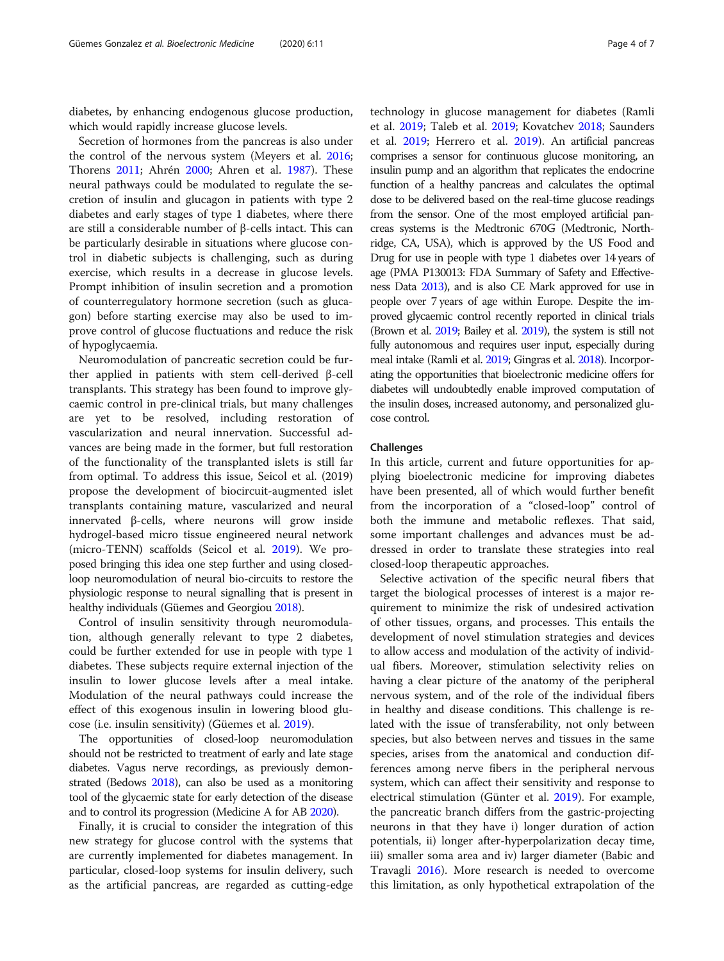diabetes, by enhancing endogenous glucose production, which would rapidly increase glucose levels.

Secretion of hormones from the pancreas is also under the control of the nervous system (Meyers et al. [2016](#page-6-0); Thorens [2011](#page-6-0); Ahrén [2000;](#page-5-0) Ahren et al. [1987\)](#page-5-0). These neural pathways could be modulated to regulate the secretion of insulin and glucagon in patients with type 2 diabetes and early stages of type 1 diabetes, where there are still a considerable number of β-cells intact. This can be particularly desirable in situations where glucose control in diabetic subjects is challenging, such as during exercise, which results in a decrease in glucose levels. Prompt inhibition of insulin secretion and a promotion of counterregulatory hormone secretion (such as glucagon) before starting exercise may also be used to improve control of glucose fluctuations and reduce the risk of hypoglycaemia.

Neuromodulation of pancreatic secretion could be further applied in patients with stem cell-derived β-cell transplants. This strategy has been found to improve glycaemic control in pre-clinical trials, but many challenges are yet to be resolved, including restoration of vascularization and neural innervation. Successful advances are being made in the former, but full restoration of the functionality of the transplanted islets is still far from optimal. To address this issue, Seicol et al. (2019) propose the development of biocircuit-augmented islet transplants containing mature, vascularized and neural innervated β-cells, where neurons will grow inside hydrogel-based micro tissue engineered neural network (micro-TENN) scaffolds (Seicol et al. [2019\)](#page-6-0). We proposed bringing this idea one step further and using closedloop neuromodulation of neural bio-circuits to restore the physiologic response to neural signalling that is present in healthy individuals (Güemes and Georgiou [2018](#page-5-0)).

Control of insulin sensitivity through neuromodulation, although generally relevant to type 2 diabetes, could be further extended for use in people with type 1 diabetes. These subjects require external injection of the insulin to lower glucose levels after a meal intake. Modulation of the neural pathways could increase the effect of this exogenous insulin in lowering blood glucose (i.e. insulin sensitivity) (Güemes et al. [2019](#page-5-0)).

The opportunities of closed-loop neuromodulation should not be restricted to treatment of early and late stage diabetes. Vagus nerve recordings, as previously demonstrated (Bedows [2018\)](#page-5-0), can also be used as a monitoring tool of the glycaemic state for early detection of the disease and to control its progression (Medicine A for AB [2020\)](#page-6-0).

Finally, it is crucial to consider the integration of this new strategy for glucose control with the systems that are currently implemented for diabetes management. In particular, closed-loop systems for insulin delivery, such as the artificial pancreas, are regarded as cutting-edge

technology in glucose management for diabetes (Ramli et al. [2019](#page-6-0); Taleb et al. [2019](#page-6-0); Kovatchev [2018;](#page-5-0) Saunders et al. [2019](#page-6-0); Herrero et al. [2019\)](#page-5-0). An artificial pancreas comprises a sensor for continuous glucose monitoring, an insulin pump and an algorithm that replicates the endocrine function of a healthy pancreas and calculates the optimal dose to be delivered based on the real-time glucose readings from the sensor. One of the most employed artificial pancreas systems is the Medtronic 670G (Medtronic, Northridge, CA, USA), which is approved by the US Food and Drug for use in people with type 1 diabetes over 14 years of age (PMA P130013: FDA Summary of Safety and Effectiveness Data [2013](#page-6-0)), and is also CE Mark approved for use in people over 7 years of age within Europe. Despite the improved glycaemic control recently reported in clinical trials (Brown et al. [2019](#page-5-0); Bailey et al. [2019](#page-5-0)), the system is still not fully autonomous and requires user input, especially during meal intake (Ramli et al. [2019](#page-6-0); Gingras et al. [2018](#page-5-0)). Incorporating the opportunities that bioelectronic medicine offers for diabetes will undoubtedly enable improved computation of the insulin doses, increased autonomy, and personalized glucose control.

#### Challenges

In this article, current and future opportunities for applying bioelectronic medicine for improving diabetes have been presented, all of which would further benefit from the incorporation of a "closed-loop" control of both the immune and metabolic reflexes. That said, some important challenges and advances must be addressed in order to translate these strategies into real closed-loop therapeutic approaches.

Selective activation of the specific neural fibers that target the biological processes of interest is a major requirement to minimize the risk of undesired activation of other tissues, organs, and processes. This entails the development of novel stimulation strategies and devices to allow access and modulation of the activity of individual fibers. Moreover, stimulation selectivity relies on having a clear picture of the anatomy of the peripheral nervous system, and of the role of the individual fibers in healthy and disease conditions. This challenge is related with the issue of transferability, not only between species, but also between nerves and tissues in the same species, arises from the anatomical and conduction differences among nerve fibers in the peripheral nervous system, which can affect their sensitivity and response to electrical stimulation (Günter et al. [2019\)](#page-5-0). For example, the pancreatic branch differs from the gastric-projecting neurons in that they have i) longer duration of action potentials, ii) longer after-hyperpolarization decay time, iii) smaller soma area and iv) larger diameter (Babic and Travagli [2016\)](#page-5-0). More research is needed to overcome this limitation, as only hypothetical extrapolation of the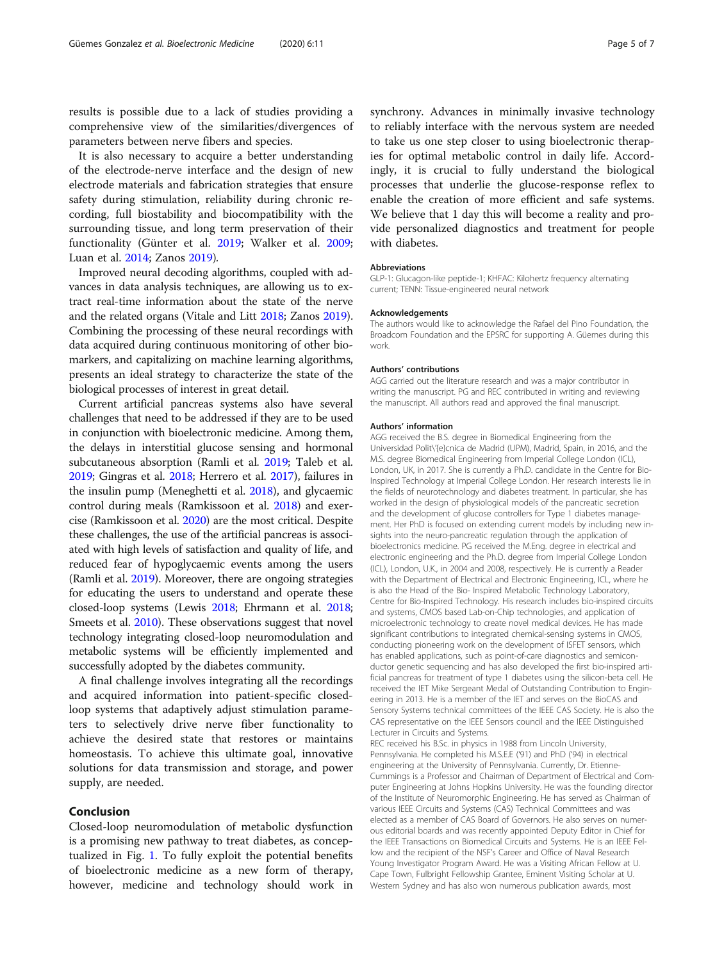results is possible due to a lack of studies providing a comprehensive view of the similarities/divergences of parameters between nerve fibers and species.

It is also necessary to acquire a better understanding of the electrode-nerve interface and the design of new electrode materials and fabrication strategies that ensure safety during stimulation, reliability during chronic recording, full biostability and biocompatibility with the surrounding tissue, and long term preservation of their functionality (Günter et al. [2019](#page-5-0); Walker et al. [2009](#page-6-0); Luan et al. [2014](#page-6-0); Zanos [2019\)](#page-6-0).

Improved neural decoding algorithms, coupled with advances in data analysis techniques, are allowing us to extract real-time information about the state of the nerve and the related organs (Vitale and Litt [2018;](#page-6-0) Zanos [2019](#page-6-0)). Combining the processing of these neural recordings with data acquired during continuous monitoring of other biomarkers, and capitalizing on machine learning algorithms, presents an ideal strategy to characterize the state of the biological processes of interest in great detail.

Current artificial pancreas systems also have several challenges that need to be addressed if they are to be used in conjunction with bioelectronic medicine. Among them, the delays in interstitial glucose sensing and hormonal subcutaneous absorption (Ramli et al. [2019;](#page-6-0) Taleb et al. [2019;](#page-6-0) Gingras et al. [2018;](#page-5-0) Herrero et al. [2017\)](#page-5-0), failures in the insulin pump (Meneghetti et al. [2018\)](#page-6-0), and glycaemic control during meals (Ramkissoon et al. [2018\)](#page-6-0) and exercise (Ramkissoon et al. [2020\)](#page-6-0) are the most critical. Despite these challenges, the use of the artificial pancreas is associated with high levels of satisfaction and quality of life, and reduced fear of hypoglycaemic events among the users (Ramli et al. [2019](#page-6-0)). Moreover, there are ongoing strategies for educating the users to understand and operate these closed-loop systems (Lewis [2018;](#page-6-0) Ehrmann et al. [2018](#page-5-0); Smeets et al. [2010\)](#page-6-0). These observations suggest that novel technology integrating closed-loop neuromodulation and metabolic systems will be efficiently implemented and successfully adopted by the diabetes community.

A final challenge involves integrating all the recordings and acquired information into patient-specific closedloop systems that adaptively adjust stimulation parameters to selectively drive nerve fiber functionality to achieve the desired state that restores or maintains homeostasis. To achieve this ultimate goal, innovative solutions for data transmission and storage, and power supply, are needed.

#### Conclusion

Closed-loop neuromodulation of metabolic dysfunction is a promising new pathway to treat diabetes, as conceptualized in Fig. [1.](#page-1-0) To fully exploit the potential benefits of bioelectronic medicine as a new form of therapy, however, medicine and technology should work in

synchrony. Advances in minimally invasive technology to reliably interface with the nervous system are needed to take us one step closer to using bioelectronic therapies for optimal metabolic control in daily life. Accordingly, it is crucial to fully understand the biological processes that underlie the glucose-response reflex to enable the creation of more efficient and safe systems. We believe that 1 day this will become a reality and provide personalized diagnostics and treatment for people with diabetes.

#### Abbreviations

GLP-1: Glucagon-like peptide-1; KHFAC: Kilohertz frequency alternating current; TENN: Tissue-engineered neural network

#### Acknowledgements

The authors would like to acknowledge the Rafael del Pino Foundation, the Broadcom Foundation and the EPSRC for supporting A. Güemes during this work.

#### Authors' contributions

AGG carried out the literature research and was a major contributor in writing the manuscript. PG and REC contributed in writing and reviewing the manuscript. All authors read and approved the final manuscript.

#### Authors' information

AGG received the B.S. degree in Biomedical Engineering from the Universidad Polit\'{e}cnica de Madrid (UPM), Madrid, Spain, in 2016, and the M.S. degree Biomedical Engineering from Imperial College London (ICL), London, UK, in 2017. She is currently a Ph.D. candidate in the Centre for Bio-Inspired Technology at Imperial College London. Her research interests lie in the fields of neurotechnology and diabetes treatment. In particular, she has worked in the design of physiological models of the pancreatic secretion and the development of glucose controllers for Type 1 diabetes management. Her PhD is focused on extending current models by including new insights into the neuro-pancreatic regulation through the application of bioelectronics medicine. PG received the M.Eng. degree in electrical and electronic engineering and the Ph.D. degree from Imperial College London (ICL), London, U.K., in 2004 and 2008, respectively. He is currently a Reader with the Department of Electrical and Electronic Engineering, ICL, where he is also the Head of the Bio- Inspired Metabolic Technology Laboratory, Centre for Bio-Inspired Technology. His research includes bio-inspired circuits and systems, CMOS based Lab-on-Chip technologies, and application of microelectronic technology to create novel medical devices. He has made significant contributions to integrated chemical-sensing systems in CMOS, conducting pioneering work on the development of ISFET sensors, which has enabled applications, such as point-of-care diagnostics and semiconductor genetic sequencing and has also developed the first bio-inspired artificial pancreas for treatment of type 1 diabetes using the silicon-beta cell. He received the IET Mike Sergeant Medal of Outstanding Contribution to Engineering in 2013. He is a member of the IET and serves on the BioCAS and Sensory Systems technical committees of the IEEE CAS Society. He is also the CAS representative on the IEEE Sensors council and the IEEE Distinguished Lecturer in Circuits and Systems.

REC received his B.Sc. in physics in 1988 from Lincoln University, Pennsylvania. He completed his M.S.E.E ('91) and PhD ('94) in electrical engineering at the University of Pennsylvania. Currently, Dr. Etienne-Cummings is a Professor and Chairman of Department of Electrical and Computer Engineering at Johns Hopkins University. He was the founding director of the Institute of Neuromorphic Engineering. He has served as Chairman of various IEEE Circuits and Systems (CAS) Technical Committees and was elected as a member of CAS Board of Governors. He also serves on numerous editorial boards and was recently appointed Deputy Editor in Chief for the IEEE Transactions on Biomedical Circuits and Systems. He is an IEEE Fellow and the recipient of the NSF's Career and Office of Naval Research Young Investigator Program Award. He was a Visiting African Fellow at U. Cape Town, Fulbright Fellowship Grantee, Eminent Visiting Scholar at U. Western Sydney and has also won numerous publication awards, most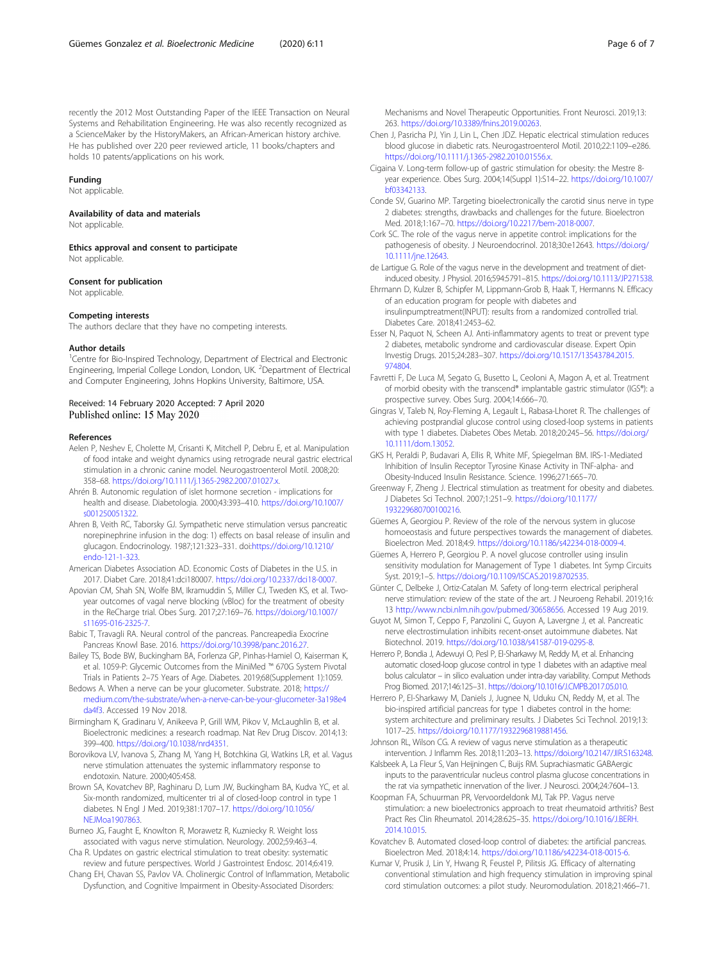<span id="page-5-0"></span>recently the 2012 Most Outstanding Paper of the IEEE Transaction on Neural Systems and Rehabilitation Engineering. He was also recently recognized as a ScienceMaker by the HistoryMakers, an African-American history archive. He has published over 220 peer reviewed article, 11 books/chapters and holds 10 patents/applications on his work.

#### Funding

Not applicable.

Availability of data and materials

Not applicable.

Ethics approval and consent to participate Not applicable.

Consent for publication

Not applicable.

#### Competing interests

The authors declare that they have no competing interests.

#### Author details

<sup>1</sup>Centre for Bio-Inspired Technology, Department of Electrical and Electronic Engineering, Imperial College London, London, UK. <sup>2</sup>Department of Electrical and Computer Engineering, Johns Hopkins University, Baltimore, USA.

#### Received: 14 February 2020 Accepted: 7 April 2020 Published online: 15 May 2020

#### References

- Aelen P, Neshev E, Cholette M, Crisanti K, Mitchell P, Debru E, et al. Manipulation of food intake and weight dynamics using retrograde neural gastric electrical stimulation in a chronic canine model. Neurogastroenterol Motil. 2008;20: 358–68. <https://doi.org/10.1111/j.1365-2982.2007.01027.x>.
- Ahrén B. Autonomic regulation of islet hormone secretion implications for health and disease. Diabetologia. 2000;43:393–410. [https://doi.org/10.1007/](https://doi.org/10.1007/s001250051322) [s001250051322](https://doi.org/10.1007/s001250051322).
- Ahren B, Veith RC, Taborsky GJ. Sympathetic nerve stimulation versus pancreatic norepinephrine infusion in the dog: 1) effects on basal release of insulin and glucagon. Endocrinology. 1987;121:323–331. doi[:https://doi.org/10.1210/](https://doi.org/10.1210/endo-121-1-323) [endo-121-1-323.](https://doi.org/10.1210/endo-121-1-323)
- American Diabetes Association AD. Economic Costs of Diabetes in the U.S. in 2017. Diabet Care. 2018;41:dci180007. [https://doi.org/10.2337/dci18-0007.](https://doi.org/10.2337/dci18-0007)
- Apovian CM, Shah SN, Wolfe BM, Ikramuddin S, Miller CJ, Tweden KS, et al. Twoyear outcomes of vagal nerve blocking (vBloc) for the treatment of obesity in the ReCharge trial. Obes Surg. 2017;27:169–76. [https://doi.org/10.1007/](https://doi.org/10.1007/s11695-016-2325-7) [s11695-016-2325-7.](https://doi.org/10.1007/s11695-016-2325-7)
- Babic T, Travagli RA. Neural control of the pancreas. Pancreapedia Exocrine Pancreas Knowl Base. 2016. [https://doi.org/10.3998/panc.2016.27.](https://doi.org/10.3998/panc.2016.27)
- Bailey TS, Bode BW, Buckingham BA, Forlenza GP, Pinhas-Hamiel O, Kaiserman K, et al. 1059-P: Glycemic Outcomes from the MiniMed ™ 670G System Pivotal Trials in Patients 2–75 Years of Age. Diabetes. 2019;68(Supplement 1):1059.
- Bedows A. When a nerve can be your glucometer. Substrate. 2018; [https://](https://medium.com/the-substrate/when-a-nerve-can-be-your-glucometer-3a198e4da4f3) [medium.com/the-substrate/when-a-nerve-can-be-your-glucometer-3a198e4](https://medium.com/the-substrate/when-a-nerve-can-be-your-glucometer-3a198e4da4f3) [da4f3](https://medium.com/the-substrate/when-a-nerve-can-be-your-glucometer-3a198e4da4f3). Accessed 19 Nov 2018.
- Birmingham K, Gradinaru V, Anikeeva P, Grill WM, Pikov V, McLaughlin B, et al. Bioelectronic medicines: a research roadmap. Nat Rev Drug Discov. 2014;13: 399–400. [https://doi.org/10.1038/nrd4351.](https://doi.org/10.1038/nrd4351)
- Borovikova LV, Ivanova S, Zhang M, Yang H, Botchkina GI, Watkins LR, et al. Vagus nerve stimulation attenuates the systemic inflammatory response to endotoxin. Nature. 2000;405:458.
- Brown SA, Kovatchev BP, Raghinaru D, Lum JW, Buckingham BA, Kudva YC, et al. Six-month randomized, multicenter tri al of closed-loop control in type 1 diabetes. N Engl J Med. 2019;381:1707–17. [https://doi.org/10.1056/](https://doi.org/10.1056/NEJMoa1907863) [NEJMoa1907863](https://doi.org/10.1056/NEJMoa1907863).
- Burneo JG, Faught E, Knowlton R, Morawetz R, Kuzniecky R. Weight loss associated with vagus nerve stimulation. Neurology. 2002;59:463–4.
- Cha R. Updates on gastric electrical stimulation to treat obesity: systematic review and future perspectives. World J Gastrointest Endosc. 2014;6:419.
- Chang EH, Chavan SS, Pavlov VA. Cholinergic Control of Inflammation, Metabolic Dysfunction, and Cognitive Impairment in Obesity-Associated Disorders:

Mechanisms and Novel Therapeutic Opportunities. Front Neurosci. 2019;13: 263. <https://doi.org/10.3389/fnins.2019.00263>.

- Chen J, Pasricha PJ, Yin J, Lin L, Chen JDZ. Hepatic electrical stimulation reduces blood glucose in diabetic rats. Neurogastroenterol Motil. 2010;22:1109–e286. <https://doi.org/10.1111/j.1365-2982.2010.01556.x>.
- Cigaina V. Long-term follow-up of gastric stimulation for obesity: the Mestre 8 year experience. Obes Surg. 2004;14(Suppl 1):S14–22. [https://doi.org/10.1007/](https://doi.org/10.1007/bf03342133) [bf03342133.](https://doi.org/10.1007/bf03342133)
- Conde SV, Guarino MP. Targeting bioelectronically the carotid sinus nerve in type 2 diabetes: strengths, drawbacks and challenges for the future. Bioelectron Med. 2018;1:167–70. [https://doi.org/10.2217/bem-2018-0007.](https://doi.org/10.2217/bem-2018-0007)
- Cork SC. The role of the vagus nerve in appetite control: implications for the pathogenesis of obesity. J Neuroendocrinol. 2018;30:e12643. [https://doi.org/](https://doi.org/10.1111/jne.12643) [10.1111/jne.12643.](https://doi.org/10.1111/jne.12643)
- de Lartigue G. Role of the vagus nerve in the development and treatment of dietinduced obesity. J Physiol. 2016;594:5791–815. [https://doi.org/10.1113/JP271538.](https://doi.org/10.1113/JP271538)
- Ehrmann D, Kulzer B, Schipfer M, Lippmann-Grob B, Haak T, Hermanns N. Efficacy of an education program for people with diabetes and insulinpumptreatment(INPUT): results from a randomized controlled trial. Diabetes Care. 2018;41:2453–62.
- Esser N, Paquot N, Scheen AJ. Anti-inflammatory agents to treat or prevent type 2 diabetes, metabolic syndrome and cardiovascular disease. Expert Opin Investig Drugs. 2015;24:283–307. [https://doi.org/10.1517/13543784.2015.](https://doi.org/10.1517/13543784.2015.974804) [974804](https://doi.org/10.1517/13543784.2015.974804).
- Favretti F, De Luca M, Segato G, Busetto L, Ceoloni A, Magon A, et al. Treatment of morbid obesity with the transcend® implantable gastric stimulator (IGS®): a prospective survey. Obes Surg. 2004;14:666–70.
- Gingras V, Taleb N, Roy-Fleming A, Legault L, Rabasa-Lhoret R. The challenges of achieving postprandial glucose control using closed-loop systems in patients with type 1 diabetes. Diabetes Obes Metab. 2018;20:245–56. [https://doi.org/](https://doi.org/10.1111/dom.13052) [10.1111/dom.13052.](https://doi.org/10.1111/dom.13052)
- GKS H, Peraldi P, Budavari A, Ellis R, White MF, Spiegelman BM. IRS-1-Mediated Inhibition of Insulin Receptor Tyrosine Kinase Activity in TNF-alpha- and Obesity-Induced Insulin Resistance. Science. 1996;271:665–70.
- Greenway F, Zheng J. Electrical stimulation as treatment for obesity and diabetes. J Diabetes Sci Technol. 2007;1:251–9. [https://doi.org/10.1177/](https://doi.org/10.1177/193229680700100216) [193229680700100216](https://doi.org/10.1177/193229680700100216).
- Güemes A, Georgiou P. Review of the role of the nervous system in glucose homoeostasis and future perspectives towards the management of diabetes. Bioelectron Med. 2018;4:9. [https://doi.org/10.1186/s42234-018-0009-4.](https://doi.org/10.1186/s42234-018-0009-4)
- Güemes A, Herrero P, Georgiou P. A novel glucose controller using insulin sensitivity modulation for Management of Type 1 diabetes. Int Symp Circuits Syst. 2019;1–5. <https://doi.org/10.1109/ISCAS.2019.8702535>.
- Günter C, Delbeke J, Ortiz-Catalan M. Safety of long-term electrical peripheral nerve stimulation: review of the state of the art. J Neuroeng Rehabil. 2019;16: 13 [http://www.ncbi.nlm.nih.gov/pubmed/30658656.](http://www.ncbi.nlm.nih.gov/pubmed/30658656) Accessed 19 Aug 2019.
- Guyot M, Simon T, Ceppo F, Panzolini C, Guyon A, Lavergne J, et al. Pancreatic nerve electrostimulation inhibits recent-onset autoimmune diabetes. Nat Biotechnol. 2019. [https://doi.org/10.1038/s41587-019-0295-8.](https://doi.org/10.1038/s41587-019-0295-8)
- Herrero P, Bondia J, Adewuyi O, Pesl P, El-Sharkawy M, Reddy M, et al. Enhancing automatic closed-loop glucose control in type 1 diabetes with an adaptive meal bolus calculator – in silico evaluation under intra-day variability. Comput Methods Prog Biomed. 2017;146:125–31. [https://doi.org/10.1016/J.CMPB.2017.05.010.](https://doi.org/10.1016/J.CMPB.2017.05.010)
- Herrero P, El-Sharkawy M, Daniels J, Jugnee N, Uduku CN, Reddy M, et al. The bio-inspired artificial pancreas for type 1 diabetes control in the home: system architecture and preliminary results. J Diabetes Sci Technol. 2019;13: 1017–25. [https://doi.org/10.1177/1932296819881456.](https://doi.org/10.1177/1932296819881456)
- Johnson RL, Wilson CG. A review of vagus nerve stimulation as a therapeutic intervention. J Inflamm Res. 2018;11:203–13. <https://doi.org/10.2147/JIR.S163248>.
- Kalsbeek A, La Fleur S, Van Heijningen C, Buijs RM. Suprachiasmatic GABAergic inputs to the paraventricular nucleus control plasma glucose concentrations in the rat via sympathetic innervation of the liver. J Neurosci. 2004;24:7604–13.
- Koopman FA, Schuurman PR, Vervoordeldonk MJ, Tak PP. Vagus nerve stimulation: a new bioelectronics approach to treat rheumatoid arthritis? Best Pract Res Clin Rheumatol. 2014;28:625–35. [https://doi.org/10.1016/J.BERH.](https://doi.org/10.1016/J.BERH.2014.10.015) [2014.10.015.](https://doi.org/10.1016/J.BERH.2014.10.015)
- Kovatchev B. Automated closed-loop control of diabetes: the artificial pancreas. Bioelectron Med. 2018;4:14. [https://doi.org/10.1186/s42234-018-0015-6.](https://doi.org/10.1186/s42234-018-0015-6)
- Kumar V, Prusik J, Lin Y, Hwang R, Feustel P, Pilitsis JG. Efficacy of alternating conventional stimulation and high frequency stimulation in improving spinal cord stimulation outcomes: a pilot study. Neuromodulation. 2018;21:466–71.